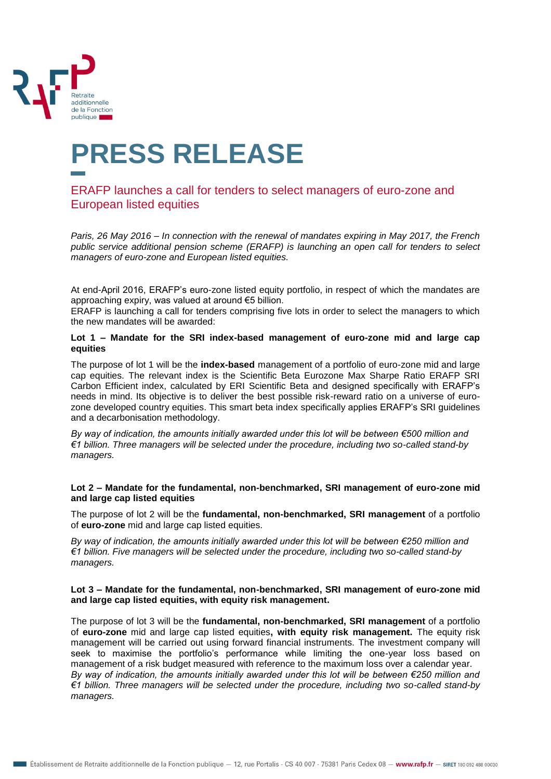

# **PRESS RELEASE**

## ERAFP launches a call for tenders to select managers of euro-zone and European listed equities

*Paris, 26 May 2016 – In connection with the renewal of mandates expiring in May 2017, the French public service additional pension scheme (ERAFP) is launching an open call for tenders to select managers of euro-zone and European listed equities.*

At end-April 2016, ERAFP's euro-zone listed equity portfolio, in respect of which the mandates are approaching expiry, was valued at around €5 billion.

ERAFP is launching a call for tenders comprising five lots in order to select the managers to which the new mandates will be awarded:

#### **Lot 1 – Mandate for the SRI index-based management of euro-zone mid and large cap equities**

The purpose of lot 1 will be the **index-based** management of a portfolio of euro-zone mid and large cap equities. The relevant index is the Scientific Beta Eurozone Max Sharpe Ratio ERAFP SRI Carbon Efficient index, calculated by ERI Scientific Beta and designed specifically with ERAFP's needs in mind. Its objective is to deliver the best possible risk-reward ratio on a universe of eurozone developed country equities. This smart beta index specifically applies ERAFP's SRI guidelines and a decarbonisation methodology.

*By way of indication, the amounts initially awarded under this lot will be between €500 million and €1 billion. Three managers will be selected under the procedure, including two so-called stand-by managers.*

#### **Lot 2 – Mandate for the fundamental, non-benchmarked, SRI management of euro-zone mid and large cap listed equities**

The purpose of lot 2 will be the **fundamental, non-benchmarked, SRI management** of a portfolio of **euro-zone** mid and large cap listed equities.

*By way of indication, the amounts initially awarded under this lot will be between €250 million and €1 billion. Five managers will be selected under the procedure, including two so-called stand-by managers.*

#### **Lot 3 – Mandate for the fundamental, non-benchmarked, SRI management of euro-zone mid and large cap listed equities, with equity risk management.**

The purpose of lot 3 will be the **fundamental, non-benchmarked, SRI management** of a portfolio of **euro-zone** mid and large cap listed equities**, with equity risk management.** The equity risk management will be carried out using forward financial instruments. The investment company will seek to maximise the portfolio's performance while limiting the one-year loss based on management of a risk budget measured with reference to the maximum loss over a calendar year. *By way of indication, the amounts initially awarded under this lot will be between €250 million and €1 billion. Three managers will be selected under the procedure, including two so-called stand-by managers.*